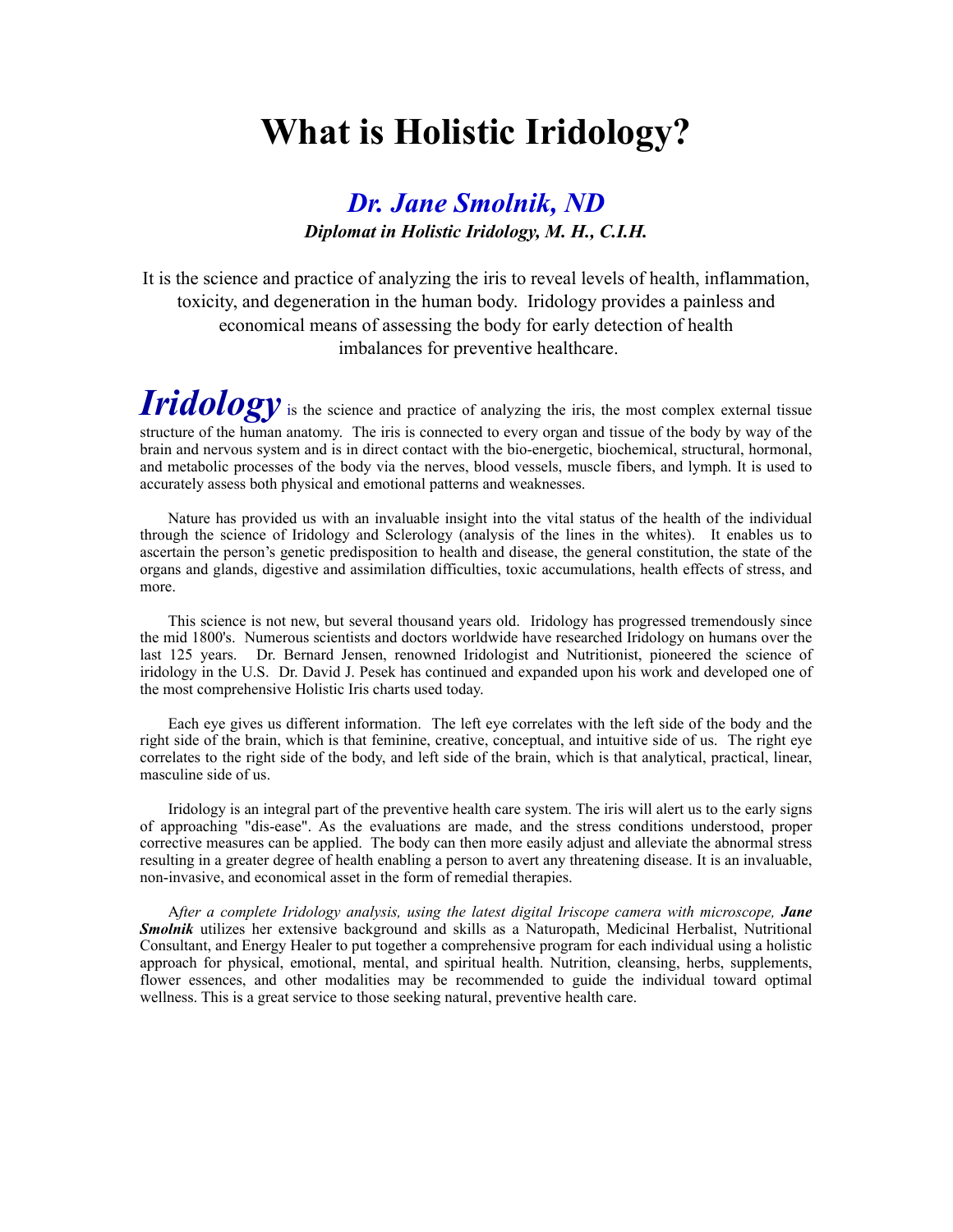## **What is Holistic Iridology?**

## *Dr. Jane Smolnik, ND Diplomat in Holistic Iridology, M. H., C.I.H.*

It is the science and practice of analyzing the iris to reveal levels of health, inflammation, toxicity, and degeneration in the human body.Iridology provides a painless and economical means of assessing the body for early detection of health imbalances for preventive healthcare.

*Iridology* is the science and practice of analyzing the iris, the most complex external tissue structure of the human anatomy. The iris is connected to every organ and tissue of the body by way of the brain and nervous system and is in direct contact with the bio-energetic, biochemical, structural, hormonal, and metabolic processes of the body via the nerves, blood vessels, muscle fibers, and lymph. It is used to accurately assess both physical and emotional patterns and weaknesses.

 Nature has provided us with an invaluable insight into the vital status of the health of the individual through the science of Iridology and Sclerology (analysis of the lines in the whites). It enables us to ascertain the person's genetic predisposition to health and disease, the general constitution, the state of the organs and glands, digestive and assimilation difficulties, toxic accumulations, health effects of stress, and more.

 This science is not new, but several thousand years old. Iridology has progressed tremendously since the mid 1800's. Numerous scientists and doctors worldwide have researched Iridology on humans over the last 125 years. Dr. Bernard Jensen, renowned Iridologist and Nutritionist, pioneered the science of iridology in the U.S. Dr. David J. Pesek has continued and expanded upon his work and developed one of the most comprehensive Holistic Iris charts used today.

 Each eye gives us different information. The left eye correlates with the left side of the body and the right side of the brain, which is that feminine, creative, conceptual, and intuitive side of us. The right eye correlates to the right side of the body, and left side of the brain, which is that analytical, practical, linear, masculine side of us.

 Iridology is an integral part of the preventive health care system. The iris will alert us to the early signs of approaching "dis-ease". As the evaluations are made, and the stress conditions understood, proper corrective measures can be applied. The body can then more easily adjust and alleviate the abnormal stress resulting in a greater degree of health enabling a person to avert any threatening disease. It is an invaluable, non-invasive, and economical asset in the form of remedial therapies.

 A*fter a complete Iridology analysis, using the latest digital Iriscope camera with microscope, Jane Smolnik* utilizes her extensive background and skills as a Naturopath, Medicinal Herbalist, Nutritional Consultant, and Energy Healer to put together a comprehensive program for each individual using a holistic approach for physical, emotional, mental, and spiritual health. Nutrition, cleansing, herbs, supplements, flower essences, and other modalities may be recommended to guide the individual toward optimal wellness. This is a great service to those seeking natural, preventive health care.